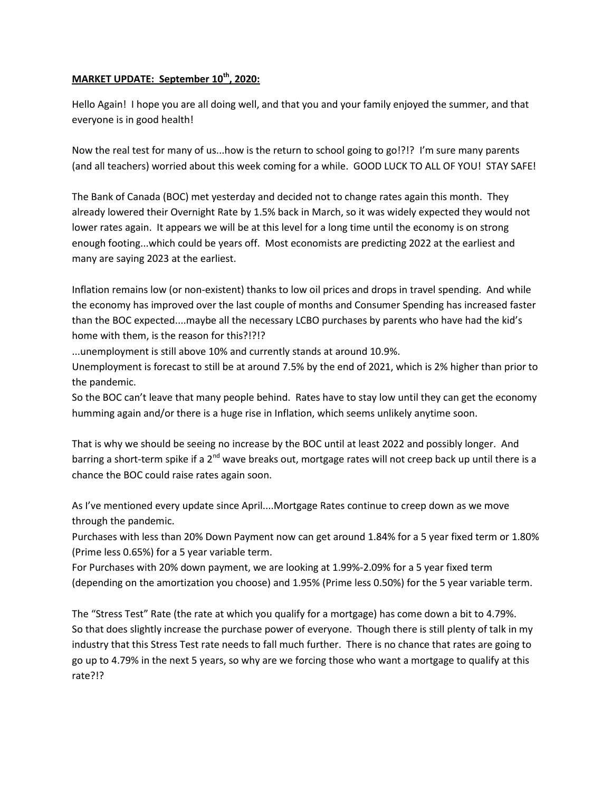## **MARKET UPDATE: September 10th, 2020:**

Hello Again! I hope you are all doing well, and that you and your family enjoyed the summer, and that everyone is in good health!

Now the real test for many of us...how is the return to school going to go!?!? I'm sure many parents (and all teachers) worried about this week coming for a while. GOOD LUCK TO ALL OF YOU! STAY SAFE!

The Bank of Canada (BOC) met yesterday and decided not to change rates again this month. They already lowered their Overnight Rate by 1.5% back in March, so it was widely expected they would not lower rates again. It appears we will be at this level for a long time until the economy is on strong enough footing...which could be years off. Most economists are predicting 2022 at the earliest and many are saying 2023 at the earliest.

Inflation remains low (or non-existent) thanks to low oil prices and drops in travel spending. And while the economy has improved over the last couple of months and Consumer Spending has increased faster than the BOC expected....maybe all the necessary LCBO purchases by parents who have had the kid's home with them, is the reason for this?!?!?

...unemployment is still above 10% and currently stands at around 10.9%.

Unemployment is forecast to still be at around 7.5% by the end of 2021, which is 2% higher than prior to the pandemic.

So the BOC can't leave that many people behind. Rates have to stay low until they can get the economy humming again and/or there is a huge rise in Inflation, which seems unlikely anytime soon.

That is why we should be seeing no increase by the BOC until at least 2022 and possibly longer. And barring a short-term spike if a  $2<sup>nd</sup>$  wave breaks out, mortgage rates will not creep back up until there is a chance the BOC could raise rates again soon.

As I've mentioned every update since April....Mortgage Rates continue to creep down as we move through the pandemic.

Purchases with less than 20% Down Payment now can get around 1.84% for a 5 year fixed term or 1.80% (Prime less 0.65%) for a 5 year variable term.

For Purchases with 20% down payment, we are looking at 1.99%-2.09% for a 5 year fixed term (depending on the amortization you choose) and 1.95% (Prime less 0.50%) for the 5 year variable term.

The "Stress Test" Rate (the rate at which you qualify for a mortgage) has come down a bit to 4.79%. So that does slightly increase the purchase power of everyone. Though there is still plenty of talk in my industry that this Stress Test rate needs to fall much further. There is no chance that rates are going to go up to 4.79% in the next 5 years, so why are we forcing those who want a mortgage to qualify at this rate?!?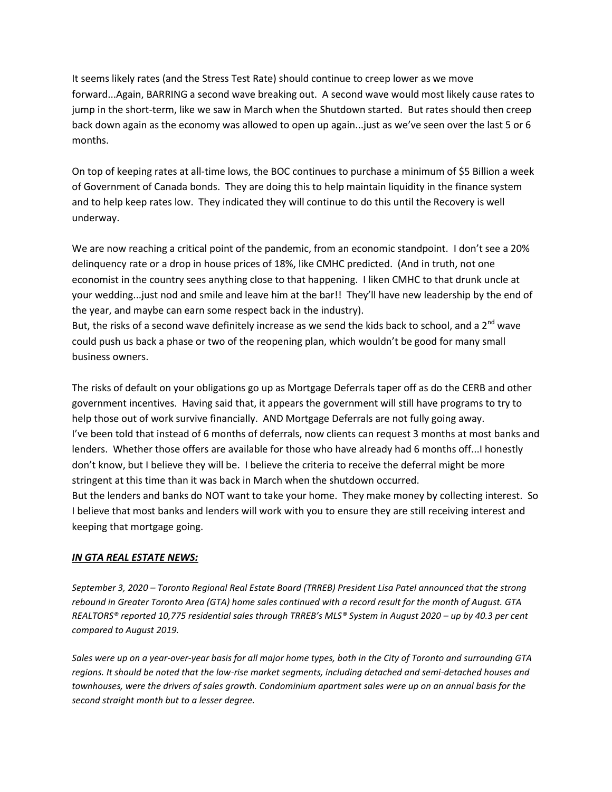It seems likely rates (and the Stress Test Rate) should continue to creep lower as we move forward...Again, BARRING a second wave breaking out. A second wave would most likely cause rates to jump in the short-term, like we saw in March when the Shutdown started. But rates should then creep back down again as the economy was allowed to open up again...just as we've seen over the last 5 or 6 months.

On top of keeping rates at all-time lows, the BOC continues to purchase a minimum of \$5 Billion a week of Government of Canada bonds. They are doing this to help maintain liquidity in the finance system and to help keep rates low. They indicated they will continue to do this until the Recovery is well underway.

We are now reaching a critical point of the pandemic, from an economic standpoint. I don't see a 20% delinquency rate or a drop in house prices of 18%, like CMHC predicted. (And in truth, not one economist in the country sees anything close to that happening. I liken CMHC to that drunk uncle at your wedding...just nod and smile and leave him at the bar!! They'll have new leadership by the end of the year, and maybe can earn some respect back in the industry).

But, the risks of a second wave definitely increase as we send the kids back to school, and a 2<sup>nd</sup> wave could push us back a phase or two of the reopening plan, which wouldn't be good for many small business owners.

The risks of default on your obligations go up as Mortgage Deferrals taper off as do the CERB and other government incentives. Having said that, it appears the government will still have programs to try to help those out of work survive financially. AND Mortgage Deferrals are not fully going away. I've been told that instead of 6 months of deferrals, now clients can request 3 months at most banks and lenders. Whether those offers are available for those who have already had 6 months off...I honestly don't know, but I believe they will be. I believe the criteria to receive the deferral might be more stringent at this time than it was back in March when the shutdown occurred.

But the lenders and banks do NOT want to take your home. They make money by collecting interest. So I believe that most banks and lenders will work with you to ensure they are still receiving interest and keeping that mortgage going.

## *IN GTA REAL ESTATE NEWS:*

*September 3, 2020 – Toronto Regional Real Estate Board (TRREB) President Lisa Patel announced that the strong rebound in Greater Toronto Area (GTA) home sales continued with a record result for the month of August. GTA REALTORS® reported 10,775 residential sales through TRREB's MLS® System in August 2020 – up by 40.3 per cent compared to August 2019.* 

*Sales were up on a year-over-year basis for all major home types, both in the City of Toronto and surrounding GTA regions. It should be noted that the low-rise market segments, including detached and semi-detached houses and townhouses, were the drivers of sales growth. Condominium apartment sales were up on an annual basis for the second straight month but to a lesser degree.*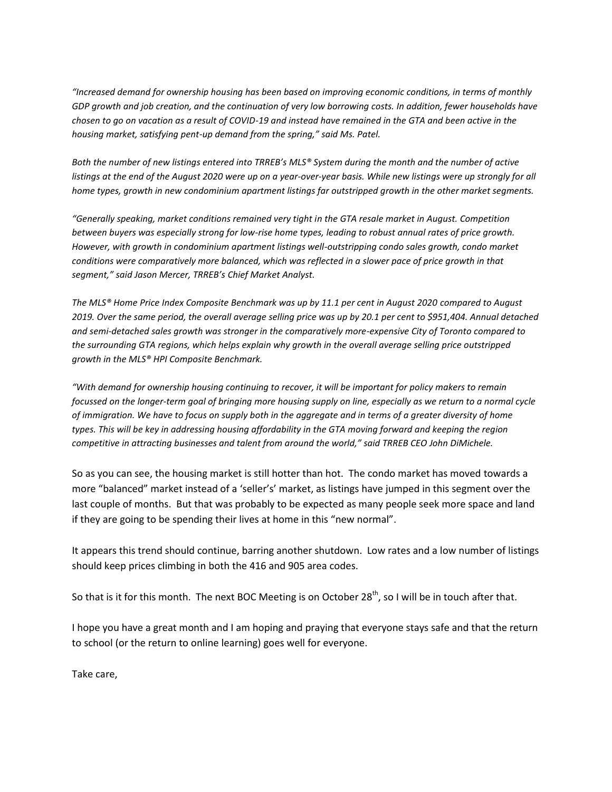*"Increased demand for ownership housing has been based on improving economic conditions, in terms of monthly GDP growth and job creation, and the continuation of very low borrowing costs. In addition, fewer households have chosen to go on vacation as a result of COVID-19 and instead have remained in the GTA and been active in the housing market, satisfying pent-up demand from the spring," said Ms. Patel.* 

*Both the number of new listings entered into TRREB's MLS® System during the month and the number of active*  listings at the end of the August 2020 were up on a year-over-year basis. While new listings were up strongly for all *home types, growth in new condominium apartment listings far outstripped growth in the other market segments.* 

*"Generally speaking, market conditions remained very tight in the GTA resale market in August. Competition between buyers was especially strong for low-rise home types, leading to robust annual rates of price growth. However, with growth in condominium apartment listings well-outstripping condo sales growth, condo market conditions were comparatively more balanced, which was reflected in a slower pace of price growth in that segment," said Jason Mercer, TRREB's Chief Market Analyst.* 

*The MLS® Home Price Index Composite Benchmark was up by 11.1 per cent in August 2020 compared to August 2019. Over the same period, the overall average selling price was up by 20.1 per cent to \$951,404. Annual detached and semi-detached sales growth was stronger in the comparatively more-expensive City of Toronto compared to the surrounding GTA regions, which helps explain why growth in the overall average selling price outstripped growth in the MLS® HPI Composite Benchmark.* 

*"With demand for ownership housing continuing to recover, it will be important for policy makers to remain focussed on the longer-term goal of bringing more housing supply on line, especially as we return to a normal cycle of immigration. We have to focus on supply both in the aggregate and in terms of a greater diversity of home types. This will be key in addressing housing affordability in the GTA moving forward and keeping the region competitive in attracting businesses and talent from around the world," said TRREB CEO John DiMichele.*

So as you can see, the housing market is still hotter than hot. The condo market has moved towards a more "balanced" market instead of a 'seller's' market, as listings have jumped in this segment over the last couple of months. But that was probably to be expected as many people seek more space and land if they are going to be spending their lives at home in this "new normal".

It appears this trend should continue, barring another shutdown. Low rates and a low number of listings should keep prices climbing in both the 416 and 905 area codes.

So that is it for this month. The next BOC Meeting is on October 28<sup>th</sup>, so I will be in touch after that.

I hope you have a great month and I am hoping and praying that everyone stays safe and that the return to school (or the return to online learning) goes well for everyone.

Take care,